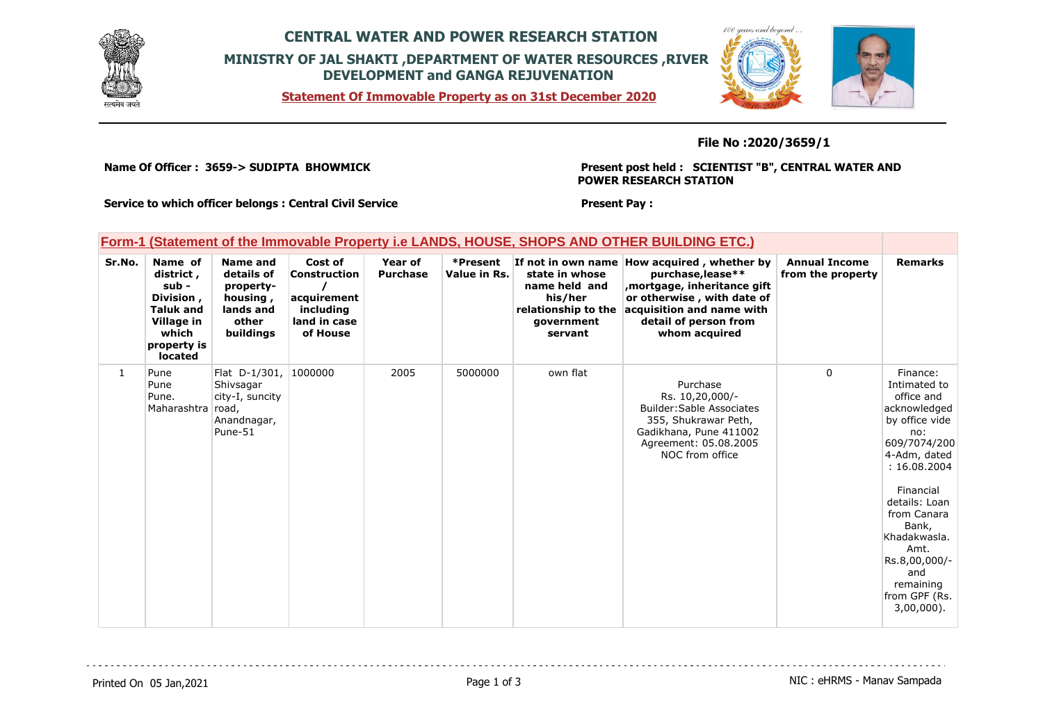

## **CENTRAL WATER AND POWER RESEARCH STATION MINISTRY OF JAL SHAKTI ,DEPARTMENT OF WATER RESOURCES ,RIVER DEVELOPMENT and GANGA REJUVENATION**

100 years and be

**Statement Of Immovable Property as on 31st December 2020**

### **File No :2020/3659/1**

**Name Of Officer : 3659-> SUDIPTA BHOWMICK** 

**Present post held : SCIENTIST "B", CENTRAL WATER AND POWER RESEARCH STATION**

**Service to which officer belongs : Central Civil Service**

**Present Pay :** 

| <b>Form-1 (Statement of the Immovable Property i.e LANDS, HOUSE, SHOPS AND OTHER BUILDING ETC.)</b> |                                                                                                                        |                                                                                           |                                                                                        |                            |                          |                                                                                            |                                                                                                                                                                                                       |                                           |                                                                                                                                                                                                                                                                                      |
|-----------------------------------------------------------------------------------------------------|------------------------------------------------------------------------------------------------------------------------|-------------------------------------------------------------------------------------------|----------------------------------------------------------------------------------------|----------------------------|--------------------------|--------------------------------------------------------------------------------------------|-------------------------------------------------------------------------------------------------------------------------------------------------------------------------------------------------------|-------------------------------------------|--------------------------------------------------------------------------------------------------------------------------------------------------------------------------------------------------------------------------------------------------------------------------------------|
| Sr.No.                                                                                              | Name of<br>district,<br>sub -<br>Division,<br><b>Taluk and</b><br>Village in<br>which<br>property is<br><b>located</b> | Name and<br>details of<br>property-<br>housing,<br>lands and<br>other<br><b>buildings</b> | Cost of<br><b>Construction</b><br>acquirement<br>including<br>land in case<br>of House | Year of<br><b>Purchase</b> | *Present<br>Value in Rs. | state in whose<br>name held and<br>his/her<br>relationship to the<br>government<br>servant | If not in own name How acquired, whether by<br>purchase, lease**<br>, mortgage, inheritance gift<br>or otherwise, with date of<br>acquisition and name with<br>detail of person from<br>whom acquired | <b>Annual Income</b><br>from the property | <b>Remarks</b>                                                                                                                                                                                                                                                                       |
| $\mathbf{1}$                                                                                        | Pune<br>Pune<br>Pune.<br>Maharashtra road,                                                                             | Flat D-1/301, 1000000<br>Shivsagar<br>city-I, suncity<br>Anandnagar,<br>Pune-51           |                                                                                        | 2005                       | 5000000                  | own flat                                                                                   | Purchase<br>Rs. 10,20,000/-<br><b>Builder: Sable Associates</b><br>355, Shukrawar Peth,<br>Gadikhana, Pune 411002<br>Agreement: 05.08.2005<br>NOC from office                                         | $\Omega$                                  | Finance:<br>Intimated to<br>office and<br>acknowledged<br>by office vide<br>no:<br>609/7074/200<br>4-Adm, dated<br>: 16.08.2004<br>Financial<br>details: Loan<br>from Canara<br>Bank,<br>Khadakwasla.<br>Amt.<br>Rs.8,00,000/-<br>and<br>remaining<br>from GPF (Rs.<br>$3.00.000$ ). |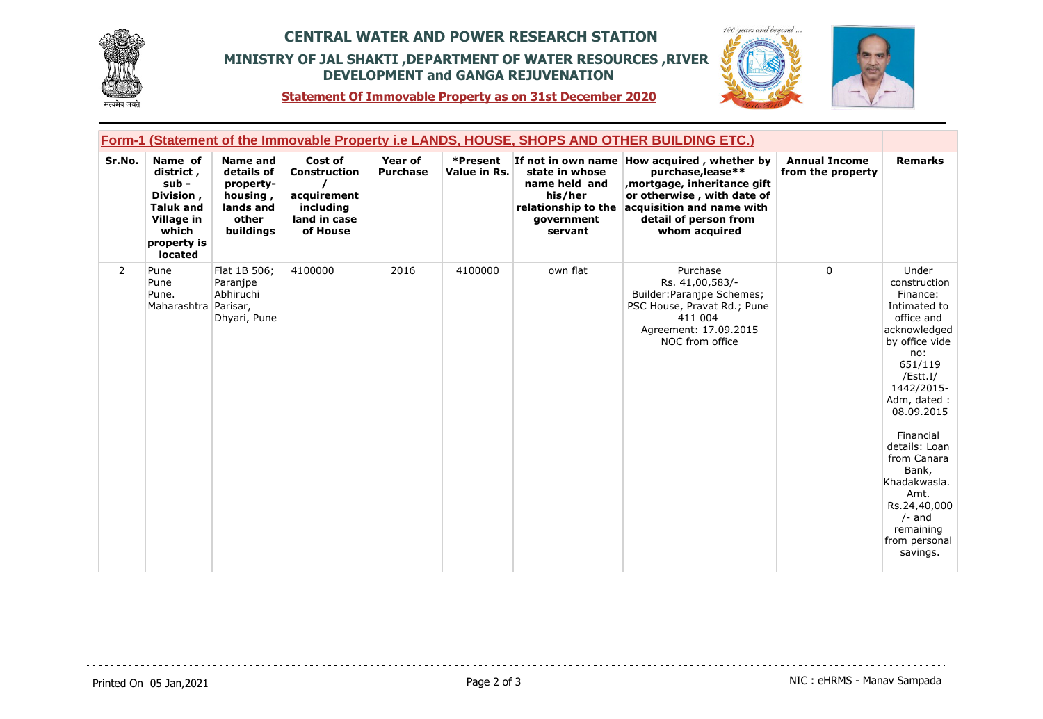

## **CENTRAL WATER AND POWER RESEARCH STATION MINISTRY OF JAL SHAKTI ,DEPARTMENT OF WATER RESOURCES ,RIVER DEVELOPMENT and GANGA REJUVENATION**





**Statement Of Immovable Property as on 31st December 2020**

| <b>Form-1 (Statement of the Immovable Property i.e LANDS, HOUSE, SHOPS AND OTHER BUILDING ETC.)</b> |                                                                                                                   |                                                                                           |                                                                                        |                                   |                          |                                                                                            |                                                                                                                                                                                                       |                                           |                                                                                                                                                                                                                                                                                                                                |
|-----------------------------------------------------------------------------------------------------|-------------------------------------------------------------------------------------------------------------------|-------------------------------------------------------------------------------------------|----------------------------------------------------------------------------------------|-----------------------------------|--------------------------|--------------------------------------------------------------------------------------------|-------------------------------------------------------------------------------------------------------------------------------------------------------------------------------------------------------|-------------------------------------------|--------------------------------------------------------------------------------------------------------------------------------------------------------------------------------------------------------------------------------------------------------------------------------------------------------------------------------|
| Sr.No.                                                                                              | Name of<br>district,<br>$sub -$<br>Division,<br><b>Taluk and</b><br>Village in<br>which<br>property is<br>located | <b>Name and</b><br>details of<br>property-<br>housing,<br>lands and<br>other<br>buildings | Cost of<br><b>Construction</b><br>acquirement<br>including<br>land in case<br>of House | <b>Year of</b><br><b>Purchase</b> | *Present<br>Value in Rs. | state in whose<br>name held and<br>his/her<br>relationship to the<br>qovernment<br>servant | If not in own name How acquired, whether by<br>purchase, lease**<br>, mortgage, inheritance gift<br>or otherwise, with date of<br>acquisition and name with<br>detail of person from<br>whom acquired | <b>Annual Income</b><br>from the property | <b>Remarks</b>                                                                                                                                                                                                                                                                                                                 |
| $\overline{2}$                                                                                      | Pune<br>Pune<br>Pune.<br>Maharashtra Parisar,                                                                     | Flat 1B 506;<br>Paranjpe<br>Abhiruchi<br>Dhyari, Pune                                     | 4100000                                                                                | 2016                              | 4100000                  | own flat                                                                                   | Purchase<br>Rs. 41,00,583/-<br>Builder: Paranjpe Schemes;<br>PSC House, Pravat Rd.; Pune<br>411 004<br>Agreement: 17.09.2015<br>NOC from office                                                       | $\mathbf{0}$                              | Under<br>construction<br>Finance:<br>Intimated to<br>office and<br>acknowledged<br>by office vide<br>no:<br>651/119<br>/Estt.I/<br>1442/2015-<br>Adm, dated:<br>08.09.2015<br>Financial<br>details: Loan<br>from Canara<br>Bank,<br>Khadakwasla.<br>Amt.<br>Rs.24,40,000<br>$/-$ and<br>remaining<br>from personal<br>savings. |

a a a a a a a a